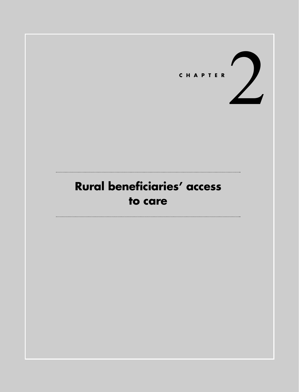

# **Rural beneficiaries' access to care**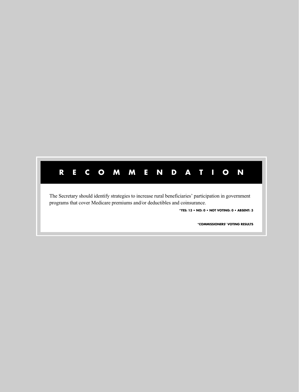## **RECOMMENDATION**

The Secretary should identify strategies to increase rural beneficiaries' participation in government programs that cover Medicare premiums and/or deductibles and coinsurance.

**\*YES: 13 • NO: 0 • NOT VOTING: 0 • ABSENT: 3**

**\*COMMISSIONERS' VOTING RESULTS**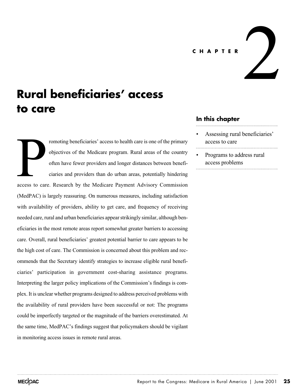#### **CHAPTER**

**Rural beneficiaries' access to care**

romoting beneficiaries' access to health care is one of the primary objectives of the Medicare program. Rural areas of the country often have fewer providers and longer distances between beneficiaries and providers than do urban areas, potentially hindering access to care. Research by the Medicare Payment Advisory Commission (MedPAC) is largely reassuring. On numerous measures, including satisfaction with availability of providers, ability to get care, and frequency of receiving needed care, rural and urban beneficiaries appear strikingly similar, although beneficiaries in the most remote areas report somewhat greater barriers to accessing care. Overall, rural beneficiaries' greatest potential barrier to care appears to be the high cost of care. The Commission is concerned about this problem and recommends that the Secretary identify strategies to increase eligible rural beneficiaries' participation in government cost-sharing assistance programs. Interpreting the larger policy implications of the Commission's findings is complex. It is unclear whether programs designed to address perceived problems with the availability of rural providers have been successful or not: The programs could be imperfectly targeted or the magnitude of the barriers overestimated. At the same time, MedPAC's findings suggest that policymakers should be vigilant in monitoring access issues in remote rural areas. access to car

#### **In this chapter**

Assessing rural beneficiaries' access to care

2

• Programs to address rural access problems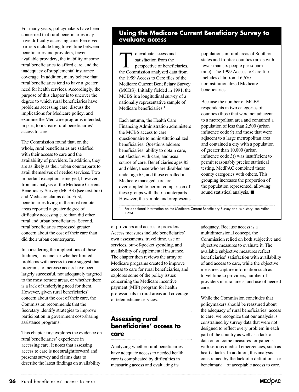For many years, policymakers have been concerned that rural beneficiaries may have difficulty accessing care. Perceived barriers include long travel time between beneficiaries and providers, fewer available providers, the inability of some rural beneficiaries to afford care, and the inadequacy of supplemental insurance coverage. In addition, many believe that rural beneficiaries tend to have a greater need for health services. Accordingly, the purpose of this chapter is to uncover the degree to which rural beneficiaries have problems accessing care, discuss the implications for Medicare policy, and examine the Medicare programs intended, in part, to increase rural beneficiaries' access to care.

The Commission found that, on the whole, rural beneficiaries are satisfied with their access to care and the availability of providers. In addition, they are as likely as their urban counterparts to avail themselves of needed services. Two important exceptions emerged, however, from an analysis of the Medicare Current Beneficiary Survey (MCBS) (see text box) and Medicare claims data. First, beneficiaries living in the most remote areas reported a greater degree of difficulty accessing care than did other rural and urban beneficiaries. Second, rural beneficiaries expressed greater concern about the cost of their care than did their urban counterparts.

In considering the implications of these findings, it is unclear whether limited problems with access to care suggest that programs to increase access have been largely successful, not adequately targeted to the most remote areas, or whether there is a lack of underlying need for them. However, given rural beneficiaries' concern about the cost of their care, the Commission recommends that the Secretary identify strategies to improve participation in government cost-sharing assistance programs.

This chapter first explores the evidence on rural beneficiaries' experience in accessing care. It notes that assessing access to care is not straightforward and presents survey and claims data to describe the latest findings on availability

## **Using the Medicare Current Beneficiary Survey to evaluate access**

o evaluate access and<br>
satisfaction from the<br>
perspective of beneficiaries,<br>
the Commission analyzed data from satisfaction from the perspective of beneficiaries, the 1999 Access to Care files of the Medicare Current Beneficiary Survey (MCBS). Initially fielded in 1991, the MCBS is a longitudinal survey of a nationally representative sample of Medicare beneficiaries.<sup>1</sup>

Each autumn, the Health Care Financing Administration administers the MCBS access to care questionnaire to noninstitutionalized beneficiaries. Questions address beneficiaries' ability to obtain care, satisfaction with care, and usual source of care. Beneficiaries ages 85 and older, those who are disabled and under age 65, and those enrolled in Medicare managed care are oversampled to permit comparison of these groups with their counterparts. However, the sample underrepresents populations in rural areas of Southern states and frontier counties (areas with fewer than six people per square mile). The 1999 Access to Care file includes data from 16,670 noninstitutionalized Medicare beneficiaries.

Because the number of MCBS respondents in two categories of counties (those that were not adjacent to a metropolitan area and contained a population of less than 2,500 (urban influence code 9) and those that were adjacent to a large metropolitan area and contained a city with a population of greater than 10,000 (urban influence code 3)) was insufficient to permit reasonably precise statistical testing, MedPAC combined these county categories with others. This grouping increases the proportion of the population represented, allowing sound statistical analysis.  $\blacksquare$ 

1 For additional information on the Medicare Current Beneficiary Survey and its history, see Adler 1994.

of providers and access to providers. Access measures include beneficiaries' own assessments, travel time, use of services, out-of-pocket spending, and availability of supplemental insurance. The chapter then reviews the array of Medicare programs created to improve access to care for rural beneficiaries, and explores some of the policy issues concerning the Medicare incentive payment (MIP) program for health professionals in rural areas and coverage of telemedicine services.

## **Assessing rural beneficiaries' access to care**

Analyzing whether rural beneficiaries have adequate access to needed health care is complicated by difficulties in measuring access and evaluating its

adequacy. Because access is a multidimensional concept, the Commission relied on both subjective and objective measures to evaluate it. The available subjective measures reflect beneficiaries' satisfaction with availability of and access to care, while the objective measures capture information such as travel time to providers, number of providers in rural areas, and use of needed care.

While the Commission concludes that policymakers should be reassured about the adequacy of rural beneficiaries' access to care, we recognize that our analysis is constrained by survey data that were not designed to reflect every problem in each part of the country as well as a lack of data on outcome measures for patients with serious medical emergencies, such as heart attacks. In addition, this analysis is constrained by the lack of a definition—or benchmark—of acceptable access to care.

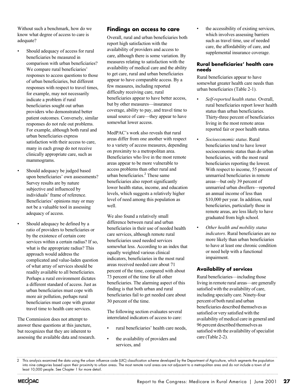Without such a benchmark, how do we know what degree of access to care is adequate?

- Should adequacy of access for rural beneficiaries be measured in comparison with urban beneficiaries? We compare rural beneficiaries' responses to access questions to those of urban beneficiaries, but different responses with respect to travel times, for example, may not necessarily indicate a problem if rural beneficiaries sought out urban providers who demonstrated better patient outcomes. Conversely, similar responses do not rule out problems. For example, although both rural and urban beneficiaries express satisfaction with their access to care, many in each group do not receive clinically appropriate care, such as mammograms.
- Should adequacy be judged based upon beneficiaries' own assessments? Survey results are by nature subjective and influenced by individuals' frame of reference. Beneficiaries' opinions may or may not be a valuable tool in assessing adequacy of access.
- Should adequacy be defined by a ratio of providers to beneficiaries or by the existence of certain core services within a certain radius? If so, what is the appropriate radius? This approach would address the complicated and value-laden question of what array of services should be readily available to all beneficiaries. Perhaps a rural environment dictates a different standard of access. Just as urban beneficiaries must cope with more air pollution, perhaps rural beneficiaries must cope with greater travel time to health care services.

The Commission does not attempt to answer these questions at this juncture, but recognizes that they are inherent to assessing the available data and research.

#### **Findings on access to care**

Overall, rural and urban beneficiaries both report high satisfaction with the availability of providers and access to care, although there is some variation. By measures relating to satisfaction with the availability of medical care and the ability to get care, rural and urban beneficiaries appear to have comparable access. By a few measures, including reported difficulty receiving care, rural beneficiaries appear to have better access, but by other measures—insurance coverage, ability to pay, and travel time to usual source of care—they appear to have somewhat lower access.

MedPAC's work also reveals that rural areas differ from one another with respect to a variety of access measures, depending on proximity to a metropolitan area. Beneficiaries who live in the most remote areas appear to be more vulnerable to access problems than other rural and urban beneficiaries.2 These same beneficiaries also report significantly lower health status, income, and education levels, which suggests a relatively higher level of need among this population as well.

We also found a relatively small difference between rural and urban beneficiaries in their use of needed health care services, although remote rural beneficiaries used needed services somewhat less. According to an index that equally weighted various clinical indicators, beneficiaries in the most rural areas received needed care about 71 percent of the time, compared with about 73 percent of the time for all other beneficiaries. The alarming aspect of this finding is that both urban and rural beneficiaries fail to get needed care about 30 percent of the time.

The following section evaluates several interrelated indicators of access to care:

- rural beneficiaries' health care needs,
- the availability of providers and services, and

the accessibility of existing services, which involves assessing barriers such as travel time, use of needed care, the affordability of care, and supplemental insurance coverage.

#### **Rural beneficiaries' health care needs**

Rural beneficiaries appear to have somewhat greater health care needs than urban beneficiaries (Table 2-1).

- *Self-reported health status*. Overall, rural beneficiaries report lower health status than urban beneficiaries. Thirty-three percent of beneficiaries living in the most remote areas reported fair or poor health status.
- *Socioeconomic status*. Rural beneficiaries tend to have lower socioeconomic status than do urban beneficiaries, with the most rural beneficiaries reporting the lowest. With respect to income, 55 percent of unmarried beneficiaries in remote areas—but only 39 percent of unmarried urban dwellers—reported an annual income of less than \$10,000 per year. In addition, rural beneficiaries, particularly those in remote areas, are less likely to have graduated from high school.
- *Other health and mobility status indicators*. Rural beneficiaries are no more likely than urban beneficiaries to have at least one chronic condition or need help with a functional impairment.

#### **Availability of services**

Rural beneficiaries—including those living in remote rural areas—are generally satisfied with the availability of care, including specialty care. Ninety-four percent of both rural and urban beneficiaries described themselves as satisfied or very satisfied with the availability of medical care in general and 96 percent described themselves as satisfied with the availability of specialist care (Table 2-2).

<sup>2</sup> This analysis examined the data using the urban influence code (UIC) classification scheme developed by the Department of Agriculture, which segments the population into nine categories based upon their proximity to urban areas. The most remote rural areas are not adjacent to a metropolitan area and do not include a town of at least 10,000 people. See Chapter 1 for more detail.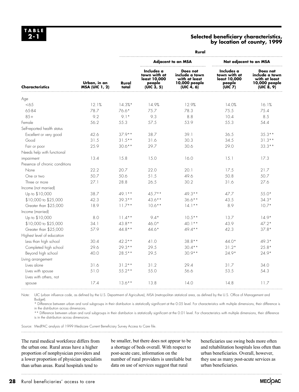#### **Selected beneficiary characteristics, by location of county, 1999**

| <b>Characteristics</b>         | Urban, in an<br><b>MSA (UIC 1, 2)</b> | Rural          |                                                                    |                                                                            |                                                                    |                                                                            |  |
|--------------------------------|---------------------------------------|----------------|--------------------------------------------------------------------|----------------------------------------------------------------------------|--------------------------------------------------------------------|----------------------------------------------------------------------------|--|
|                                |                                       | Rural<br>total | <b>Adjacent to an MSA</b>                                          |                                                                            | Not adjacent to an MSA                                             |                                                                            |  |
|                                |                                       |                | Includes a<br>town with at<br>least 10,000<br>people<br>(UIC 3, 5) | Does not<br>include a town<br>with at least<br>10,000 people<br>(UIC 4, 6) | Includes a<br>town with at<br>least 10,000<br>people<br>(UIC $Z$ ) | Does not<br>include a town<br>with at least<br>10,000 people<br>(UIC 8, 9) |  |
| Age                            |                                       |                |                                                                    |                                                                            |                                                                    |                                                                            |  |
| $<$ 65                         | 12.1%                                 | $14.3%$ *      | 14.9%                                                              | 12.9%                                                                      | 14.0%                                                              | 16.1%                                                                      |  |
| 65-84                          | 78.7                                  | 76.6*          | 75.7                                                               | 78.3                                                                       | 75.5                                                               | 75.4                                                                       |  |
| $85+$                          | 9.2                                   | $9.1*$         | 9.3                                                                | 8.8                                                                        | 10.4                                                               | 8.5                                                                        |  |
| Female                         | 56.2                                  | 55.3           | 57.5                                                               | 53.9                                                                       | 55.3                                                               | 54.4                                                                       |  |
| Self-reported health status    |                                       |                |                                                                    |                                                                            |                                                                    |                                                                            |  |
| Excellent or very good         | 42.6                                  | $37.9**$       | 38.7                                                               | 39.1                                                                       | 36.5                                                               | $35.3**$                                                                   |  |
| Good                           | 31.5                                  | $31.5***$      | 31.6                                                               | 30.3                                                                       | 34.5                                                               | $31.3***$                                                                  |  |
| Fair or poor                   | 25.9                                  | $30.6**$       | 29.7                                                               | 30.6                                                                       | 29.0                                                               | $33.3**$                                                                   |  |
| Needs help with functional     |                                       |                |                                                                    |                                                                            |                                                                    |                                                                            |  |
| impairment                     | 13.4                                  | 15.8           | 15.0                                                               | 16.0                                                                       | 15.1                                                               | 17.3                                                                       |  |
| Presence of chronic conditions |                                       |                |                                                                    |                                                                            |                                                                    |                                                                            |  |
| None                           | 22.2                                  | 20.7           | 22.0                                                               | 20.1                                                                       | 17.5                                                               | 21.7                                                                       |  |
| One or two                     | 50.7                                  | 50.6           | 51.5                                                               | 49.6                                                                       | 50.8                                                               | 50.7                                                                       |  |
| Three or more                  | 27.1                                  | 28.8           | 26.5                                                               | 30.2                                                                       | 31.6                                                               | 27.6                                                                       |  |
| Income (not married)           |                                       |                |                                                                    |                                                                            |                                                                    |                                                                            |  |
| Up to \$10,000                 | 38.7                                  | $49.1**$       | $45.7**$                                                           | 49.3 **                                                                    | 47.7                                                               | $55.0*$                                                                    |  |
| \$10,000 to \$25,000           | 42.3                                  | $39.3**$       | $43.6**$                                                           | $36.6***$                                                                  | 43.5                                                               | $34.3*$                                                                    |  |
| Greater than \$25,000          | 18.9                                  | $11.7**$       | $10.6***$                                                          | $14.1***$                                                                  | 8.9                                                                | $10.7*$                                                                    |  |
| Income (married)               |                                       |                |                                                                    |                                                                            |                                                                    |                                                                            |  |
| Up to \$10,000                 | 8.0                                   | $11.4**$       | $9.4*$                                                             | $10.5**$                                                                   | 13.7                                                               | $14.9*$                                                                    |  |
| \$10,000 to \$25,000           | 34.1                                  | $43.8**$       | $46.0*$                                                            | $40.1**$                                                                   | 43.9                                                               | $47.2*$                                                                    |  |
| Greater than \$25,000          | 57.9                                  | $44.8**$       | $44.6*$                                                            | $49.4**$                                                                   | 42.3                                                               | $37.8*$                                                                    |  |
| Highest level of education     |                                       |                |                                                                    |                                                                            |                                                                    |                                                                            |  |
| Less than high school          | 30.4                                  | $42.2**$       | 41.0                                                               | $38.8**$                                                                   | $44.0*$                                                            | $49.3*$                                                                    |  |
| Completed high school          | 29.6                                  | $29.3***$      | 29.5                                                               | $30.4***$                                                                  | $31.2*$                                                            | $25.8*$                                                                    |  |
| Beyond high school             | 40.0                                  | $28.5***$      | 29.5                                                               | $30.9**$                                                                   | $74.9*$                                                            | $24.9*$                                                                    |  |
| Living arrangement             |                                       |                |                                                                    |                                                                            |                                                                    |                                                                            |  |
| Lives alone                    | 31.6                                  | $31.2**$       | 31.2                                                               | 29.4                                                                       | 31.7                                                               | 34.0                                                                       |  |
| Lives with spouse              | 51.0                                  | $55.2**$       | 55.0                                                               | 56.6                                                                       | 53.5                                                               | 54.3                                                                       |  |
| Lives with others, not         |                                       |                |                                                                    |                                                                            |                                                                    |                                                                            |  |
| spouse                         | 17.4                                  | $13.6***$      | 13.8                                                               | 14.0                                                                       | 14.8                                                               | 11.7                                                                       |  |

Note: UIC (urban influence code, as defined by the U.S. Department of Agriculture), MSA (metropolitan statistical area, as defined by the U.S. Office of Management and Budget).

\* Difference between urban and rural subgroups in their distribution is statistically significant at the 0.05 level. For characteristics with multiple dimensions, their difference is in the distribution across dimensions.

\*\* Difference between urban and rural subgroups in their distribution is statistically significant at the 0.01 level. For characteristics with multiple dimensions, their difference is in the distribution across dimensions.

Source: MedPAC analysis of 1999 Medicare Current Beneficiary Survey Access to Care file.

The rural medical workforce differs from the urban one. Rural areas have a higher proportion of nonphysician providers and a lower proportion of physician specialists than urban areas. Rural hospitals tend to

be smaller, but there does not appear to be a shortage of beds overall. With respect to post-acute care, information on the number of rural providers is unreliable but data on use of services suggest that rural

beneficiaries use swing beds more often and rehabilitation hospitals less often than urban beneficiaries. Overall, however, they use as many post-acute services as urban beneficiaries.

**28** Rural beneficiaries' access to care

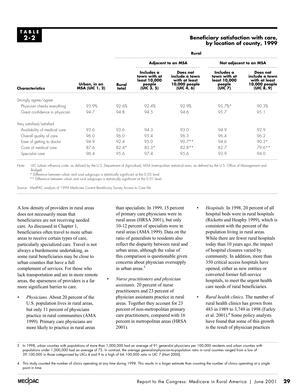#### **Beneficiary satisfaction with care, by location of county, 1999**

| <b>Characteristics</b>        | Urban, in an<br><b>MSA (UIC 1, 2)</b> |                | Rural                                                              |                                                                            |                                                                    |                                                                            |  |
|-------------------------------|---------------------------------------|----------------|--------------------------------------------------------------------|----------------------------------------------------------------------------|--------------------------------------------------------------------|----------------------------------------------------------------------------|--|
|                               |                                       | Rural<br>total | <b>Adjacent to an MSA</b>                                          |                                                                            | Not adjacent to an MSA                                             |                                                                            |  |
|                               |                                       |                | Includes a<br>town with at<br>least 10,000<br>people<br>(UIC 3, 5) | Does not<br>include a town<br>with at least<br>10,000 people<br>(UIC 4, 6) | Includes a<br>town with at<br>least 10,000<br>people<br>(UIC $Z$ ) | Does not<br>include a town<br>with at least<br>10,000 people<br>(UIC 8, 9) |  |
| Strongly agree/agree          |                                       |                |                                                                    |                                                                            |                                                                    |                                                                            |  |
| Physician checks everything   | 93.9%                                 | 92.6%          | 92.4%                                                              | 92.9%                                                                      | $95.7\%*$                                                          | 90.3%                                                                      |  |
| Great confidence in physician | 94.7                                  | 94.8           | 94.5                                                               | 94.6                                                                       | 95.7                                                               | 95.1                                                                       |  |
| Very satisfied/satisfied      |                                       |                |                                                                    |                                                                            |                                                                    |                                                                            |  |
| Availability of medical care  | 93.6                                  | 93.6           | 94.3                                                               | 93.0                                                                       | 94.9                                                               | 92.9                                                                       |  |
| Overall quality of care       | 96.0                                  | 96.0           | 95.4                                                               | 96.3                                                                       | 96.4                                                               | 96.2                                                                       |  |
| Ease of getting to doctor     | 94.9                                  | 92.4           | 95.0                                                               | $90.7**$                                                                   | 94.6                                                               | $90.3*$                                                                    |  |
| Costs of medical care         | 87.6                                  | $82.4*$        | $83.3*$                                                            | $82.8**$                                                                   | 82.7                                                               | $79.6**$                                                                   |  |
| Specialist care               | 96.4                                  | 95.6           | 97.4                                                               | 95.6                                                                       | 93.9                                                               | 94.0                                                                       |  |

Note: UIC (urban influence code, as defined by the U.S. Department of Agriculture), MSA (metropolitan statistical area, as defined by the U.S. Office of Management and Budget).

\* Difference between urban and rural subgroups is statistically significant at the 0.05 level.

\*\* Difference between urban and rural subgroups is statistically significant at the 0.01 level.

Source: MedPAC analysis of 1999 Medicare Current Beneficiary Survey Access to Care file.

A low density of providers in rural areas does not necessarily mean that beneficiaries are not receiving needed care. As discussed in Chapter 1, beneficiaries often travel to more urban areas to receive certain types of care, particularly specialized care. Travel is not always a burdensome undertaking, as some rural beneficiaries may be close to urban counties that have a full complement of services. For those who lack transportation and are in more remote areas, the sparseness of providers is a far more significant barrier to care.

• *Physicians.* About 20 percent of the U.S. population lives in rural areas, but only 11 percent of physicians practice in rural communities (AMA 1999). Primary care physicians are more likely to practice in rural areas

than specialists: In 1999, 15 percent of primary care physicians were in rural areas (HRSA 2001), but only 10-12 percent of specialists were in rural areas (AMA 1999). Data on the ratio of generalists to residents also reflect the disparity between rural and urban areas, although the value of this comparison is questionable given concerns about physician oversupply in urban areas.<sup>3</sup>

- *Nurse practitioners and physician assistants*. 20 percent of nurse practitioners and 23 percent of physician assistants practice in rural areas. Together they account for 23 percent of non-metropolitan primary care practitioners, compared with 16 percent in metropolitan areas (HRSA 2001).
- *Hospitals.* In 1998, 20 percent of all hospital beds were in rural hospitals (Ricketts and Heaphy 1999), which is consistent with the percent of the population living in rural areas. While there are fewer rural hospitals today than 10 years ago, the impact of hospital closures varied by community. In addition, more than 350 critical access hospitals have opened, either as new entities or converted former full-service hospitals, to meet the urgent health care needs of rural beneficiaries.
- *Rural health clinics*. The number of rural health clinics has grown from 483 in 1989 to 3,749 in 1998 (Farley et al. 2001).<sup>4</sup> Some policy analysts have found that some of this growth is the result of physician practices

3 In 1998, urban counties with populations of more than 1,000,000 had an average of 91 generalist physicians per 100,000 residents and urban counties with populations under 1,000,000 had an average of 75. In contrast, the average generalist-physician-to-population ratio in rural counties ranged from a low of 39:100,000 in those categorized by UICs 4 and 9 to a high of 64:100,000 ratio in UIC 7 (Hart 2000).

<sup>4</sup> This study counted the number of clinics operating at any time during 1998. This results in a larger estimate than counting the number of clinics operating at a single point in time.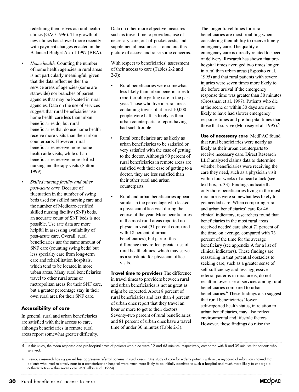redefining themselves as rural health clinics (GAO 1996). The growth of new clinics has slowed more recently with payment changes enacted in the Balanced Budget Act of 1997 (BBA).

- *Home health.* Counting the number of home health agencies in rural areas is not particularly meaningful, given that the data reflect neither the service areas of agencies (some are statewide) nor branches of parent agencies that may be located in rural agencies. Data on the use of services suggest that rural beneficiaries use home health care less than urban beneficiaries do, but rural beneficiaries that do use home health receive more visits than their urban counterparts. However, rural beneficiaries receive more home health aide visits, while urban beneficiaries receive more skilled nursing and therapy visits (Sutton 1999).
- *Skilled nursing facility and other post-acute care.* Because of fluctuation in the number of swing beds used for skilled nursing care and the number of Medicare-certified skilled nursing facility (SNF) beds, an accurate count of SNF beds is not possible. Use rate data are more helpful in assessing availability of post-acute care. Overall, rural beneficiaries use the same amount of SNF care (counting swing beds) but less specialty care from long-term care and rehabilitation hospitals, which tend to be located in more urban areas. Many rural beneficiaries travel to other rural areas or metropolitan areas for their SNF care, but a greater percentage stay in their own rural area for their SNF care.

#### **Accessibility of care**

In general, rural and urban beneficiaries are satisfied with their access to care, although beneficiaries in remote rural areas report somewhat greater difficulty. Data on other more objective measures such as travel time to providers, use of necessary care, out-of-pocket costs, and supplemental insurance—round out this picture of access and raise some concerns.

With respect to beneficiaries' assessment of their access to care (Tables 2-2 and  $2-3$ :

- Rural beneficiaries were somewhat less likely than urban beneficiaries to report trouble getting care in the past year. Those who live in rural areas containing towns of at least 10,000 people were half as likely as their urban counterparts to report having had such trouble.
- Rural beneficiaries are as likely as urban beneficiaries to be satisfied or very satisfied with the ease of getting to the doctor. Although 90 percent of rural beneficiaries in remote areas are satisfied with their ease of getting to a doctor, they are less satisfied than their other rural and urban counterparts.
- Rural and urban beneficiaries appear similar in the percentage who lacked a physician office visit during the course of the year. More beneficiaries in the most rural areas reported no physician visit (31 percent compared with 18 percent of urban beneficiaries), but part of this difference may reflect greater use of rural health clinics, which may serve as a substitute for physician office visits.

**Travel time to providers** The difference in travel times to providers between rural and urban beneficiaries is not as great as might be expected. About 8 percent of rural beneficiaries and less than 4 percent of urban ones report that they travel an hour or more to get to their doctors. Seventy-two percent of rural beneficiaries and 81 percent of urban ones have a travel time of under 30 minutes (Table 2-3).

The longer travel times for rural beneficiaries are most troubling when considering their ability to receive timely emergency care. The quality of emergency care is directly related to speed of delivery. Research has shown that prehospital times averaged two times longer in rural than urban areas (Esposito et al. 1995) and that rural patients with severe injuries were seven times more likely to die before arrival if the emergency response time was greater than 30 minutes (Grossman et al. 1997). Patients who die at the scene or within 30 days are more likely to have had slower emergency response times and pre-hospital times than those that survive (Morrisey et al. 1995).<sup>5</sup>

**Use of necessary care** MedPAC found that rural beneficiaries were nearly as likely as their urban counterparts to receive necessary care. Direct Research LLC analyzed claims data to determine whether beneficiaries were receiving the care they need, such as a physician visit within four weeks of a heart attack (see text box, p. 33). Findings indicate that only those beneficiaries living in the most rural areas were somewhat less likely to get needed care. When comparing rural and urban beneficiaries' care for 46 clinical indicators, researchers found that beneficiaries in the most rural areas received needed care about 71 percent of the time, on average, compared with 73 percent of the time for the average beneficiary (see appendix A for a list of clinical indicators). These findings are reassuring in that potential obstacles to seeking care, such as a greater sense of self-sufficiency and less aggressive referral patterns in rural areas, do not result in lower use of services among rural beneficiaries compared to urban beneficiaries.<sup>6</sup> These findings also suggest that rural beneficiaries' lower self-reported health status, in relation to urban beneficiaries, may also reflect environmental and lifestyle factors. However, these findings do raise the

<sup>5</sup> In this study, the mean response and pre-hospital times of patients who died were 12 and 63 minutes, respectively, compared with 8 and 39 minutes for patients who survived.

<sup>6</sup> Previous research has suggested less aggressive referral patterns in rural areas. One study of care for elderly patients with acute myocardial infarction showed that patients who lived relatively near to a catheterization hospital were much more likely to be initially admitted to such a hospital and much more likely to undergo a catheterization within seven days (McClellan et al. 1994).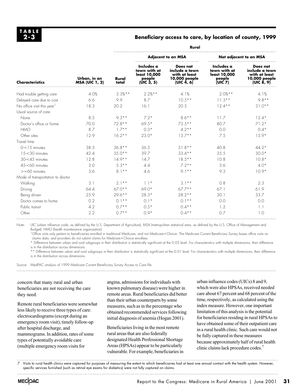#### **Beneficiary access to care, by location of county, 1999**

| <b>Characteristics</b>                 | Urban, in an<br><b>MSA (UIC 1, 2)</b> | Rural          |                                                                                |                                                                            |                                                                 |                                                                            |  |
|----------------------------------------|---------------------------------------|----------------|--------------------------------------------------------------------------------|----------------------------------------------------------------------------|-----------------------------------------------------------------|----------------------------------------------------------------------------|--|
|                                        |                                       | Rural<br>total | <b>Adjacent to an MSA</b>                                                      |                                                                            | Not adjacent to an MSA                                          |                                                                            |  |
|                                        |                                       |                | Includes a<br>town with at<br>least 10,000<br>people<br>(UIC <sub>3</sub> , 5) | Does not<br>include a town<br>with at least<br>10,000 people<br>(UIC 4, 6) | Includes a<br>town with at<br>least 10,000<br>people<br>(UIC 7) | Does not<br>include a town<br>with at least<br>10,000 people<br>(UIC 8, 9) |  |
| Had trouble getting care               | 4.0%                                  | $3.3%$ **      | $2.2%$ **                                                                      | 4.1%                                                                       | $2.0\%**$                                                       | 4.1%                                                                       |  |
| Delayed care due to cost               | 6.6                                   | 9.9            | 8.7                                                                            | $10.5***$                                                                  | $11.3**$                                                        | $9.8**$                                                                    |  |
| No office visit this year <sup>1</sup> | 18.3                                  | 20.2           | 16.1                                                                           | 20.5                                                                       | $12.4**$                                                        | $31.0**$                                                                   |  |
| Usual source of care                   |                                       |                |                                                                                |                                                                            |                                                                 |                                                                            |  |
| None                                   | 8.5                                   | $9.3**$        | $7.2*$                                                                         | $8.6***$                                                                   | 11.7                                                            | $12.4*$                                                                    |  |
| Doctor's office or home                | 70.0                                  | $72.8**$       | $69.5*$                                                                        | $73.5**$                                                                   | 80.7                                                            | $71.2*$                                                                    |  |
| <b>HMO</b>                             | 8.7                                   | $1.7**$        | $0.3*$                                                                         | $4.2**$                                                                    | 0.0                                                             | $0.4*$                                                                     |  |
| Other sites                            | 12.9                                  | $16.2**$       | $23.0*$                                                                        | $13.7**$                                                                   | 7.5                                                             | $15.9*$                                                                    |  |
| Travel time                            |                                       |                |                                                                                |                                                                            |                                                                 |                                                                            |  |
| $0 < 15$ minutes                       | 38.3                                  | $36.8***$      | 36.5                                                                           | $31.8**$                                                                   | 40.8                                                            | $44.2*$                                                                    |  |
| 15-<30 minutes                         | 42.4                                  | $35.0**$       | 39.7                                                                           | $33.4**$                                                                   | 35.5                                                            | $30.0*$                                                                    |  |
| $30 - 45$ minutes                      | 12.8                                  | $14.9**$       | 14.7                                                                           | $18.5***$                                                                  | 10.8                                                            | $10.8*$                                                                    |  |
| 45-<60 minutes                         | 3.0                                   | $5.3**$        | 4.4                                                                            | $7.2**$                                                                    | 3.6                                                             | $4.0*$                                                                     |  |
| $>=60$ minutes                         | 3.6                                   | $8.1***$       | 4.6                                                                            | $9.1**$                                                                    | 9.3                                                             | $10.9*$                                                                    |  |
| Mode of transportation to doctor       |                                       |                |                                                                                |                                                                            |                                                                 |                                                                            |  |
| Walking                                | 3.1                                   | $2.1***$       | $1.1*$                                                                         | $3.1**$                                                                    | 0.8                                                             | 2.3                                                                        |  |
| Driving                                | 64.4                                  | $67.0**$       | 69.0*                                                                          | $67.7**$                                                                   | 67.1                                                            | 61.9                                                                       |  |
| Being driven                           | 25.9                                  | $29.6***$      | $28.3*$                                                                        | $28.2**$                                                                   | 30.1                                                            | 33.7                                                                       |  |
| Doctor comes to home                   | 0.2                                   | $0.1***$       | $0.1*$                                                                         | $0.1**$                                                                    | 0.0                                                             | 0.0                                                                        |  |
| Public transit                         | 4.2                                   | $0.7**$        | $0.5*$                                                                         | $0.4**$                                                                    | 1.2                                                             | 1.1                                                                        |  |
| Other                                  | 2.2                                   | $07**$         | $0.9*$                                                                         | $0.4***$                                                                   | 0.7                                                             | 1.0                                                                        |  |

Note: UIC (urban influence code, as defined by the U.S. Department of Agriculture), MSA (metropolitan statistical area, as defined by the U.S. Office of Management and Budget), HMO (health maintenance organization).

<sup>1</sup>Office visits only pertain to beneficiaries enrolled in traditional Medicare, and not Medicare+Choice. The Medicare Current Beneficiary Survey bases office visits on claims data, and providers do not submit claims for Medicare+Choice enrollees.

\* Difference between urban and rural subgroups in their distribution is statistically significant at the 0.05 level. For characteristics with multiple dimensions, their difference is in the distribution across dimensions.

\*\* Difference between urban and rural subgroups in their distribution is statistically significant at the 0.01 level. For characteristics with multiple dimensions, their difference is in the distribution across dimensions.

Source: MedPAC analysis of 1999 Medicare Current Beneficiary Survey Access to Care file.

#### concern that many rural and urban beneficiaries are not receiving the care they need.

Remote rural beneficiaries were somewhat less likely to receive three types of care: electrocardiograms (except during an emergency room visit), timely follow-up after hospital discharge, and mammograms. In addition, rates of some types of potentially avoidable care (multiple emergency room visits for

angina, admissions for individuals with known pulmonary disease) were higher in remote areas. Rural beneficiaries did better than their urban counterparts by some measures, such as in the percentage who obtained recommended services following initial diagnosis of anemia (Hogan 2001).

Beneficiaries living in the most remote rural areas that are also federally designated Health Professional Shortage Areas (HPSAs) appear to be particularly vulnerable. For example, beneficiaries in urban influence codes (UICs) 8 and 9, which were also HPSAs, received needed care about 67 percent and 68 percent of the time, respectively, as calculated using the index measure. However, one important limitation of this analysis is the potential for beneficiaries residing in rural HPSAs to have obtained some of their outpatient care in a rural health clinic. Such care would not be fully captured in these measures because approximately half of rural health clinic claims lack procedure codes.7

7 Visits to rural health clinics were captured for purposes of measuring the extent to which beneficiaries had at least one annual contact with the health system. However, specific services furnished (such as retinal eye exams for diabetics) were not fully captured on claims.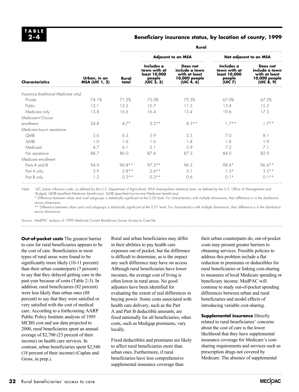#### **Beneficiary insurance status, by location of county, 1999**

| <b>Characteristics</b>                | Urban, in an<br><b>MSA (UIC 1, 2)</b> | Rural          |                                                                    |                                                                            |                                                                    |                                                                            |  |
|---------------------------------------|---------------------------------------|----------------|--------------------------------------------------------------------|----------------------------------------------------------------------------|--------------------------------------------------------------------|----------------------------------------------------------------------------|--|
|                                       |                                       | Rural<br>total | <b>Adjacent to an MSA</b>                                          |                                                                            | Not adjacent to an MSA                                             |                                                                            |  |
|                                       |                                       |                | Includes a<br>town with at<br>least 10,000<br>people<br>(UIC 3, 5) | Does not<br>include a town<br>with at least<br>10,000 people<br>(UIC 4, 6) | Includes a<br>town with at<br>least 10,000<br>people<br>(UIC $Z$ ) | Does not<br>include a town<br>with at least<br>10,000 people<br>(UIC 8, 9) |  |
| Insurance (traditional Medicare only) |                                       |                |                                                                    |                                                                            |                                                                    |                                                                            |  |
| Private                               | 74.1%                                 | 71.2%          | 73.0%                                                              | 73.3%                                                                      | 67.0%                                                              | 67.5%                                                                      |  |
| Public                                | 12.1                                  | 12.2           | 10.7                                                               | 11.3                                                                       | 13.4                                                               | 15.2                                                                       |  |
| Medicare only                         | 13.8                                  | 16.6           | 16.4                                                               | 15.4                                                                       | 19.6                                                               | 17.3                                                                       |  |
| Medicare+Choice                       |                                       |                |                                                                    |                                                                            |                                                                    |                                                                            |  |
| enrollment                            | 24.8                                  | $4.7*$         | $3.3**$                                                            | $8.5***$                                                                   | $1.7**$                                                            | $1.7**$                                                                    |  |
| Medicare buy-in assistance            |                                       |                |                                                                    |                                                                            |                                                                    |                                                                            |  |
| QMB                                   | 5.6                                   | 6.3            | 5.9                                                                | 5.5                                                                        | 7.0                                                                | 8.1                                                                        |  |
| <b>SLMB</b>                           | 1.0                                   | 1.6            | 1.6                                                                | 1.4                                                                        | 1.8                                                                | 1.9                                                                        |  |
| Medicaid                              | 4.7                                   | 6.1            | 5.1                                                                | 5.9                                                                        | 7.2                                                                | 7.1                                                                        |  |
| No assistance                         | 88.7                                  | 86.0           | 87.4                                                               | 87.3                                                                       | 84.0                                                               | 82.9                                                                       |  |
| Medicare enrollment                   |                                       |                |                                                                    |                                                                            |                                                                    |                                                                            |  |
| Parts A and B                         | 94.9                                  | $96.8***$      | $97.2**$                                                           | 96.3                                                                       | 98.4*                                                              | $96.4***$                                                                  |  |
| Part A only                           | 3.9                                   | $2.8**$        | $2.6***$                                                           | 3.1                                                                        | $1.5*$                                                             | $3.5**$                                                                    |  |
| Part B only                           | 1.2                                   | $0.3**$        | $0.3***$                                                           | 0.6                                                                        | $0.1*$                                                             | $0.1***$                                                                   |  |

Note: UIC (urban influence code, as defined by the U.S. Department of Agriculture), MSA (metropolitan statistical area, as defined by the U.S. Office of Management and Budget), QMB (qualified Medicare beneficiary), SLMB (specified low-income Medicare beneficiary).

\* Difference between urban and rural subgroups is statistically significant at the 0.05 level. For characteristics with multiple dimensions, their difference is in the distribution across dimensions.

\*\* Difference between urban and rural subgroups is statistically significant at the 0.01 level. For characteristics with multiple dimensions, their difference is in the distribution across dimensions.

Source: MedPAC analysis of 1999 Medicare Current Beneficiary Survey Access to Care file.

**Out-of-pocket costs** The greatest barrier to care for rural beneficiaries appears to be the cost of care. Beneficiaries in most types of rural areas were found to be significantly more likely (10-11 percent) than their urban counterparts (7 percent) to say that they delayed getting care in the past year because of costs (Table 2-3). In addition, rural beneficiaries (82 percent) were less likely than urban ones (88 percent) to say that they were satisfied or very satisfied with the cost of medical care. According to a forthcoming AARP Public Policy Institute analysis of 1995 MCBS cost and use data projected to 2000, rural beneficiaries spent an annual average of \$2,700 (23 percent of their income) on health care services. In contrast, urban beneficiaries spent \$2,540 (18 percent of their income) (Caplan and Gross, in prep.).

Rural and urban beneficiaries may differ in their abilities to pay health care expenses out of pocket, but the difference is difficult to determine, as is the impact any such difference may have on access. Although rural beneficiaries have lower incomes, the average cost of living is often lower in rural areas. No good adjusters have been identified for evaluating the extent of real differences in buying power. Some costs associated with health care delivery, such as the Part A and Part B deductible amounts, are fixed nationally for all beneficiaries; other costs, such as Medigap premiums, vary locally.

Fixed deductibles and premiums are likely to affect rural beneficiaries more than urban ones. Furthermore, if rural beneficiaries have less comprehensive supplemental insurance coverage than

their urban counterparts do, out-of-pocket costs may present greater barriers to obtaining services. Possible policies to address this problem include a flat reduction in premiums or deductibles for rural beneficiaries or linking cost-sharing to measures of local Medicare spending or beneficiary income. MedPAC will continue to study out-of-pocket spending differences between urban and rural beneficiaries and model effects of introducing variable cost-sharing.

**Supplemental insurance Directly** related to rural beneficiaries' concerns about the cost of care is the lower likelihood that they have supplemental insurance coverage for Medicare's costsharing requirements and services such as prescription drugs not covered by Medicare. The absence of supplemental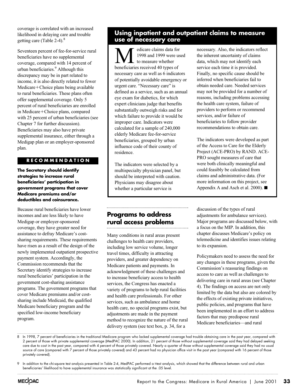coverage is correlated with an increased likelihood in delaying care and trouble getting care (Table 2-4).<sup>8</sup>

Seventeen percent of fee-for-service rural beneficiaries have no supplemental coverage, compared with 14 percent of urban beneficiaries.9 Although this discrepancy may be in part related to income, it is also directly related to fewer  $Medicare+Choice plans being available$ to rural beneficiaries. These plans often offer supplemental coverage. Only 5 percent of rural beneficiaries are enrolled in Medicare+Choice plans, compared with 25 percent of urban beneficiaries (see Chapter 7 for further discussion). Beneficiaries may also have private supplemental insurance, either through a Medigap plan or an employer-sponsored plan.

#### **RECOMMENDATION**

**The Secretary should identify strategies to increase rural beneficiaries' participation in government programs that cover Medicare premiums and/or deductibles and coinsurance.** 

Because rural beneficiaries have lower incomes and are less likely to have Medigap or employer-sponsored coverage, they have greater need for assistance to defray Medicare's costsharing requirements. These requirements have risen as a result of the design of the newly implemented outpatient prospective payment system. Accordingly, the Commission recommends that the Secretary identify strategies to increase rural beneficiaries' participation in the government cost-sharing assistance programs. The government programs that cover Medicare premiums and/or costsharing include Medicaid, the qualified Medicare beneficiary program and the specified low-income beneficiary program.

## **Using inpatient and outpatient claims to measure use of necessary care**

**M** edicare claims data for<br>to measure whether<br>beneficiaries received 40 types of 1998 and 1999 were used to measure whether necessary care as well as 6 indicators of potentially avoidable emergency or urgent care. "Necessary care" is defined as a service, such as an annual eye exam for diabetics, for which expert clinicians judge that benefits substantially outweigh risks and for which failure to provide it would be improper care. Indicators were calculated for a sample of 240,000 elderly Medicare fee-for-service beneficiaries, grouped by urban influence code of their county of residence.

The indicators were selected by a multispecialty physician panel, but should be interpreted with caution. Physicians may disagree about whether a particular service is

necessary. Also, the indicators reflect the inherent uncertainty of claims data, which may not identify each service each time it is provided. Finally, no specific cause should be inferred when beneficiaries fail to obtain needed care. Needed services may not be provided for a number of reasons, including problems accessing the health care system, failure of providers to perform or recommend services, and/or failure of beneficiaries to follow provider recommendations to obtain care.

The indicators were developed as part of the Access to Care for the Elderly Project (ACE-PRO) by RAND. ACE-PRO sought measures of care that were both clinically meaningful and could feasibly be calculated from claims and administrative data. (For more information on this project, see Appendix A and Asch et al. 2000).  $\blacksquare$ 

## **Programs to address rural access problems**

Many conditions in rural areas present challenges to health care providers, including low service volume, longer travel times, difficulty in attracting providers, and greater dependency on Medicare patients and payments. In acknowledgment of these challenges and to increase beneficiary access to health services, the Congress has enacted a variety of programs to help rural facilities and health care professionals. For other services, such as ambulance and home health care, no special programs exist, but adjustments are made in the payment method to recognize the nature of the rural delivery system (see text box, p. 34, for a

discussion of the types of rural adjustments for ambulance services). Major programs are discussed below, with a focus on the MIP. In addition, this chapter discusses Medicare's policy on telemedicine and identifies issues relating to its expansion.

Policymakers need to assess the need for any changes in these programs, given the Commission's reassuring findings on access to care as well as challenges to delivering care in rural areas (see Chapter 4). The findings on access are not only limited by the data but also are colored by the effects of existing private initiatives, public policies, and programs that have been implemented in an effort to address factors that may predispose rural Medicare beneficiaries—and rural

<sup>8</sup> In 1998, 7 percent of beneficiaries in the traditional Medicare program who lacked supplemental coverage had trouble obtaining care in the past year, compared with 2 percent of those with private supplemental coverage (MedPAC 2000). In addition, 21 percent of those without supplemental coverage said they had delayed seeking care due to cost in the past year, compared with 4 percent of those privately covered. Nearly a quarter of those without supplemental coverage said they had no usual source of care (compared with 7 percent of those privately covered) and 43 percent had no physician office visit in the past year (compared with 16 percent of those privately covered).

<sup>9</sup> In addition to the chi-square test analysis presented in Table 2-4, MedPAC performed a t-test analysis, which showed that the difference between rural and urban beneficiaries' likelihood to have supplemental insurance was statistically significant at the .05 level.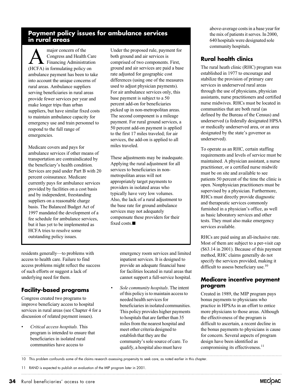## **Payment policy issues for ambulance services in rural areas**

major concern of the<br>Congress and Health<br>Financing Administration Congress and Health Care Financing Administration (HCFA) in formulating policy on ambulance payment has been to take into account the unique concerns of rural areas. Ambulance suppliers serving beneficiaries in rural areas provide fewer services per year and make longer trips than urban suppliers, but have similar fixed costs to maintain ambulance capacity for emergency use and train personnel to respond to the full range of emergencies.

Medicare covers and pays for ambulance services if other means of transportation are contraindicated by the beneficiary's health condition. Services are paid under Part B with 20 percent coinsurance. Medicare currently pays for ambulance services provided by facilities on a cost basis and by independent, freestanding suppliers on a reasonable charge basis. The Balanced Budget Act of 1997 mandated the development of a fee schedule for ambulance services, but it has yet to be implemented as HCFA tries to resolve some outstanding policy issues.

Under the proposed rule, payment for both ground and air services is comprised of two components. First, ground and air services are paid a base rate adjusted for geographic cost differences (using one of the measures used to adjust physician payments). For air ambulance services only, this base payment is subject to a 50 percent add-on for beneficiaries picked up in non-metropolitan areas. The second component is a mileage payment. For rural ground services, a 50 percent add-on payment is applied to the first 17 miles traveled; for air services, the add-on is applied to all miles traveled.

These adjustments may be inadequate. Applying the rural adjustment for all services to beneficiaries in nonmetropolitan areas will not appropriately target payments to providers in isolated areas who typically have very low volumes. Also, the lack of a rural adjustment to the base rate for ground ambulance services may not adequately compensate these providers for their fixed costs. $\blacksquare$ 

residents generally—to problems with access to health care. Failure to find access problems might reflect the success of such efforts or suggest a lack of underlying need for them.

## **Facility-based programs**

Congress created two programs to improve beneficiary access to hospital services in rural areas (see Chapter 4 for a discussion of related payment issues).

• *Critical access hospitals.* This program is intended to ensure that beneficiaries in isolated rural communities have access to

emergency room services and limited inpatient services. It is designed to provide an adequate financial base for facilities located in rural areas that cannot support a full-service hospital.

• *Sole community hospitals*. The intent of this policy is to maintain access to needed health services for beneficiaries in isolated communities. This policy provides higher payments to hospitals that are farther than 35 miles from the nearest hospital and meet other criteria designed to establish that they are the community's sole source of care. To qualify, a hospital also must have

above-average costs in a base year for the mix of patients it serves. In 2000, 640 hospitals were designated sole community hospitals.

## **Rural health clinics**

The rural heath clinic (RHC) program was established in 1977 to encourage and stabilize the provision of primary care services in underserved rural areas through the use of physicians, physician assistants, nurse practitioners and certified nurse midwives. RHCs must be located in communities that are both rural (as defined by the Bureau of the Census) and underserved (a federally designated HPSA or medically underserved area, or an area designated by the state's governor as underserved).

To operate as an RHC, certain staffing requirements and levels of service must be maintained. A physician assistant, a nurse practitioner, or a certified nurse midwife must be on site and available to see patients 50 percent of the time the clinic is open. Nonphysician practitioners must be supervised by a physician. Furthermore, RHCs must directly provide diagnostic and therapeutic services commonly furnished in a physician's office, as well as basic laboratory services and other tests. They must also make emergency services available.

RHCs are paid using an all-inclusive rate. Most of them are subject to a per-visit cap (\$63.14 in 2001). Because of this payment method, RHC claims generally do not specify the services provided, making it difficult to assess beneficiary use.<sup>10</sup>

#### **Medicare incentive payment program**

Created in 1989, the MIP program pays bonus payments to physicians who practice in HPSAs in an effort to entice more physicians to those areas. Although the effectiveness of the program is difficult to ascertain, a recent decline in the bonus payments to physicians is cause for concern. Several aspects of program design have been identified as compromising its effectiveness.<sup>11</sup>

10 This problem confounds some of the claims research assessing propensity to seek care, as noted earlier in this chapter.

11 RAND is expected to publish an evaluation of the MIP program later in 2001.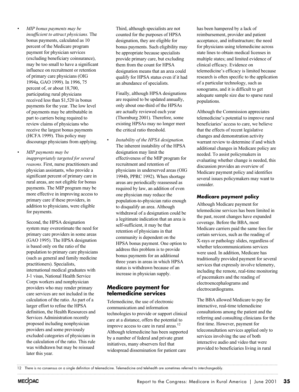• *MIP bonus payments may be insufficient to attract physicians.* The bonus payments, calculated as 10 percent of the Medicare program payment for physician services (excluding beneficiary coinsurance), may be too small to have a significant influence on recruitment or retention of primary care physicians (OIG 1994a, GAO 1999). In 1996, 75 percent of, or about 18,700, participating rural physicians received less than \$1,520 in bonus payments for the year. The low level of payments may be attributable in part to carriers being required to review claims of physicians who receive the largest bonus payments (HCFA 1999). This policy may discourage physicians from applying.

• *MIP payments may be inappropriately targeted for several reasons*. First, nurse practitioners and physician assistants, who provide a significant percent of primary care in rural areas, are not eligible for bonus payments. The MIP program may be more effective in improving access to primary care if these providers, in addition to physicians, were eligible for payments.

Second, the HPSA designation system may overestimate the need for primary care providers in some areas (GAO 1995). The HPSA designation is based only on the ratio of the population to primary care physicians (such as general and family medicine practitioners). Specialists, international medical graduates with J-1 visas, National Health Service Corps workers and nonphysician providers who may render primary care services are not included in the calculation of the ratio. As part of a larger effort to refine the HPSA definition, the Health Resources and Services Administration recently proposed including nonphysician providers and some previously excluded categories of physicians in the calculation of the ratio. This rule was withdrawn but may be reissued later this year.

Third, although specialists are not counted for the purposes of HPSA designation, they are eligible for bonus payments. Such eligibility may be appropriate because specialists provide primary care, but excluding them from the count for HPSA designation means that an area could qualify for HPSA status even if it had an abundance of specialists.

Finally, although HPSA designations are required to be updated annually, only about one-third of the HPSAs are actually reviewed each year (Thornburg 2001). Therefore, some existing HPSAs may no longer meet the critical ratio threshold.

• *Instability of the HPSA designation.* The inherent instability of the HPSA designation may limit the effectiveness of the MIP program for recruitment and retention of physicians in underserved areas (OIG 1994b, PPRC 1992). When shortage areas are periodically reassessed as required by law, an addition of even one physician may reduce the population-to-physician ratio enough to disqualify an area. Although withdrawal of a designation could be a legitimate indication that an area is self-sufficient, it may be that retention of physicians in that community is dependent on the HPSA bonus payment. One option to address this problem is to provide bonus payments for an additional three years in areas in which HPSA status is withdrawn because of an increase in physician supply.

#### **Medicare payment for telemedicine services**

Telemedicine, the use of electronic communication and information technologies to provide or support clinical care at a distance, offers the potential to improve access to care in rural areas.<sup>12</sup> Although telemedicine has been supported by a number of federal and private grant initiatives, many observers feel that widespread dissemination for patient care

has been hampered by a lack of reimbursement, provider and patient acceptance, and infrastructure; the need for physicians using telemedicine across state lines to obtain medical licenses in multiple states; and limited evidence of clinical efficacy. Evidence on telemedicine's efficacy is limited because research is often specific to the application of a particular technology, such as sonograms, and it is difficult to get adequate sample size due to sparse rural populations.

Although the Commission appreciates telemedicine's potential to improve rural beneficiaries' access to care, we believe that the effects of recent legislative changes and demonstration activity warrant review to determine if and which additional changes in Medicare policy are needed. To assist policymakers in evaluating whether change is needed, this discussion provides an overview of Medicare payment policy and identifies several issues policymakers may want to consider.

#### **Medicare payment policy**

Although Medicare payment for telemedicine services has been limited in the past, recent changes have expanded coverage. Before the BBA, most Medicare carriers paid the same fees for certain services, such as the reading of X-rays or pathology slides, regardless of whether telecommunications services were used. In addition, Medicare has traditionally provided payment for several services that expressly involve telemetry, including the remote, real-time monitoring of pacemakers and the reading of electroencephalograms and electrocardiograms.

The BBA allowed Medicare to pay for interactive, real-time telemedicine consultations among the patient and the referring and consulting clinicians for the first time. However, payment for teleconsultation services applied only to services involving the use of both interactive audio and video that were provided to beneficiaries living in rural

<sup>12</sup> There is no consensus on a single definition of telemedicine. Telemedicine and telehealth are sometimes referred to interchangeably.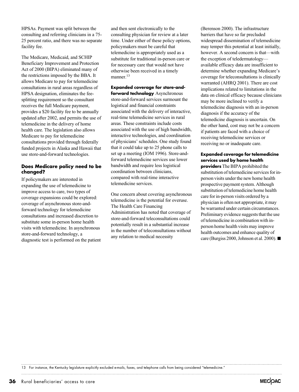HPSAs. Payment was split between the consulting and referring clinicians in a 75- 25 percent ratio, and there was no separate facility fee.

The Medicare, Medicaid, and SCHIP Beneficiary Improvement and Protection Act of 2000 (BIPA) eliminated many of the restrictions imposed by the BBA. It allows Medicare to pay for telemedicine consultations in rural areas regardless of HPSA designation, eliminates the feesplitting requirement so the consultant receives the full Medicare payment, provides a \$20 facility fee to be annually updated after 2002, and permits the use of telemedicine in the delivery of home health care. The legislation also allows Medicare to pay for telemedicine consultations provided through federally funded projects in Alaska and Hawaii that use store-and-forward technologies.

#### **Does Medicare policy need to be changed?**

If policymakers are interested in expanding the use of telemedicine to improve access to care, two types of coverage expansions could be explored: coverage of asynchronous store-andforward technology for telemedicine consultations and increased discretion to substitute some in-person home health visits with telemedicine. In asynchronous store-and-forward technology, a diagnostic test is performed on the patient

and then sent electronically to the consulting physician for review at a later time. Under either of these policy options, policymakers must be careful that telemedicine is appropriately used as a substitute for traditional in-person care or for necessary care that would not have otherwise been received in a timely manner.<sup>13</sup>

**Expanded coverage for store-andforward technology** Asynchronous store-and-forward services surmount the logistical and financial constraints associated with the delivery of interactive, real-time telemedicine services in rural areas. These constraints include costs associated with the use of high bandwidth, interactive technologies, and coordination of physicians' schedules. One study found that it could take up to 25 phone calls to set up a meeting (IOM 1996). Store-andforward telemedicine services use lower bandwidth and require less logistical coordination between clinicians, compared with real-time interactive telemedicine services.

One concern about covering asynchronous telemedicine is the potential for overuse. The Health Care Financing Administration has noted that coverage of store-and-forward teleconsultations could potentially result in a substantial increase in the number of teleconsultations without any relation to medical necessity

(Berenson 2000). The infrastructure barriers that have so far precluded widespread dissemination of telemedicine may temper this potential at least initially, however. A second concern is that—with the exception of teledermatology available efficacy data are insufficient to determine whether expanding Medicare's coverage for teleconsultations is clinically warranted (AHRQ 2001). There are cost implications related to limitations in the data on clinical efficacy because clinicians may be more inclined to verify a telemedicine diagnosis with an in-person diagnosis if the accuracy of the telemedicine diagnosis is uncertain. On the other hand, cost may not be a concern if patients are faced with a choice of receiving telemedicine services or receiving no or inadequate care.

#### **Expanded coverage for telemedicine services used by home health**

**providers** The BIPA prohibited the substitution of telemedicine services for inperson visits under the new home health prospective payment system. Although substitution of telemedicine home health care for in-person visits ordered by a physician is often not appropriate, it may be warranted under certain circumstances. Preliminary evidence suggests that the use of telemedicine in combination with inperson home health visits may improve health outcomes and enhance quality of care (Burgiss 2000, Johnson et al. 2000).  $\blacksquare$ 

13 For instance, the Kentucky legislature explicitly excluded e-mails, faxes, and telephone calls from being considered "telemedicine."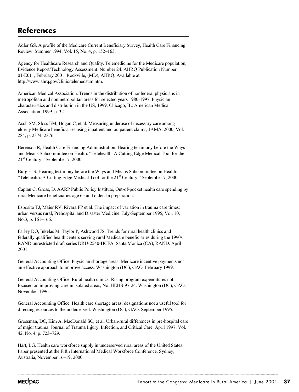## **References**

Adler GS. A profile of the Medicare Current Beneficiary Survey, Health Care Financing Review. Summer 1994, Vol. 15, No. 4, p. 152–163.

Agency for Healthcare Research and Quality. Telemedicine for the Medicare population, Evidence Report/Technology Assessment: Number 24. AHRQ Publication Number 01-E011, February 2001. Rockville, (MD), AHRQ. Available at http://www.ahrq.gov/clinic/telemedsum.htm.

American Medical Association. Trends in the distribution of nonfederal physicians in metropolitan and nonmetropolitan areas for selected years 1980-1997, Physician characteristics and distribution in the US, 1999. Chicago, IL: American Medical Association, 1999, p. 32.

Asch SM, Sloss EM, Hogan C, et al. Measuring underuse of necessary care among elderly Medicare beneficiaries using inpatient and outpatient claims, JAMA. 2000, Vol. 284, p. 2374–2376.

Berenson R, Health Care Financing Administration. Hearing testimony before the Ways and Means Subcommittee on Health: "Telehealth: A Cutting Edge Medical Tool for the 21st Century." September 7, 2000.

Burgiss S. Hearing testimony before the Ways and Means Subcommittee on Health: "Telehealth: A Cutting Edge Medical Tool for the 21<sup>st</sup> Century." September 7, 2000.

Caplan C, Gross, D. AARP Public Policy Institute, Out-of-pocket health care spending by rural Medicare beneficiaries age 65 and older. In preparation.

Esposito TJ, Maier RV, Rivara FP et al. The impact of variation in trauma care times: urban versus rural, Prehospital and Disaster Medicine. July-September 1995, Vol. 10, No.3, p. 161–166.

Farley DO, Inkelas M, Taylor P, Ashwood JS. Trends for rural health clinics and federally qualified health centers serving rural Medicare beneficiaries during the 1990s. RAND unrestricted draft series DRU-2540-HCFA. Santa Monica (CA), RAND. April 2001.

General Accounting Office. Physician shortage areas: Medicare incentive payments not an effective approach to improve access. Washington (DC), GAO. February 1999.

General Accounting Office. Rural health clinics: Rising program expenditures not focused on improving care in isolated areas, No. HEHS-97-24. Washington (DC), GAO. November 1996.

General Accounting Office. Health care shortage areas: designations not a useful tool for directing resources to the underserved. Washington (DC), GAO. September 1995.

Grossman, DC, Kim A, MacDonald SC, et al. Urban-rural differences in pre-hospital care of major trauma, Journal of Trauma Injury, Infection, and Critical Care. April 1997, Vol. 42, No. 4, p. 723–729.

Hart, LG. Health care workforce supply in underserved rural areas of the United States. Paper presented at the Fifth International Medical Workforce Conference, Sydney, Australia, November 16–19, 2000.